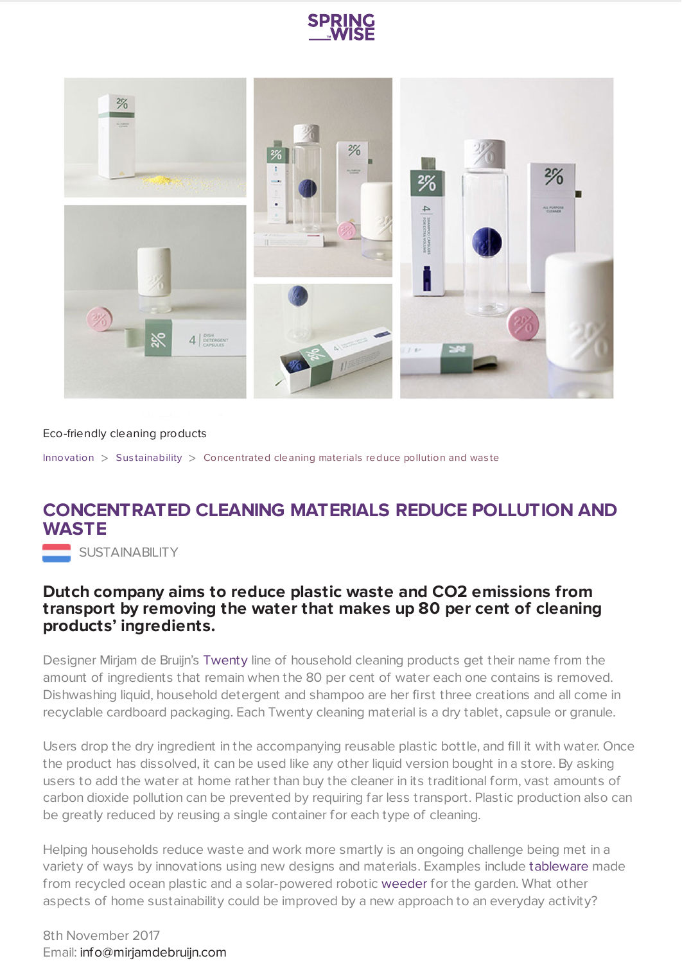



## Eco-friendly cleaning products

[Innovation](https://www.springwise.com/search?type=innovation)  $>$  Sus[tainability](https://www.springwise.com/search?type=innovation§or=sustainability)  $>$  Concentrated cleaning materials reduce pollution and was te

## **CONCENTRATED CLEANING MATERIALS REDUCE POLLUTION AND WASTE**

**SUSTAINABILITY** 

## **Dutch company aims to reduce plastic waste and CO2 emissions from transport by removing the water that makes up 80 per cent of cleaning products' ingredients.**

Designer Mirjam de Bruijn's [Twenty](http://mirjamdebruijn.com/) line of household cleaning products get their name from the amount of ingredients that remain when the 80 per cent of water each one contains is removed. Dishwashing liquid, household detergent and shampoo are her first three creations and all come in recyclable cardboard packaging. Each Twenty cleaning material is a dry tablet, capsule or granule.

Users drop the dry ingredient in the accompanying reusable plastic bottle, and fill it with water. Once the product has dissolved, it can be used like any other liquid version bought in a store. By asking users to add the water at home rather than buy the cleaner in its traditional form, vast amounts of carbon dioxide pollution can be prevented by requiring far less transport. Plastic production also can be greatly reduced by reusing a single container for each type of cleaning.

Helping households reduce waste and work more smartly is an ongoing challenge being met in a variety of ways by innovations using new designs and materials. Examples include [tableware](https://www.springwise.com/beach-plastic-repurposed-sleek-kitchenware/) made from recycled ocean plastic and a solar-powered robotic [weeder](https://www.springwise.com/solar-powered-robot-weeds-gardens-autonomously/) for the garden. What other aspects of home sustainability could be improved by a new approach to an everyday activity?

8th November 2017 Email: [info@mirjamdebruijn.com](mailto:info@mirjamdebruijn.com)